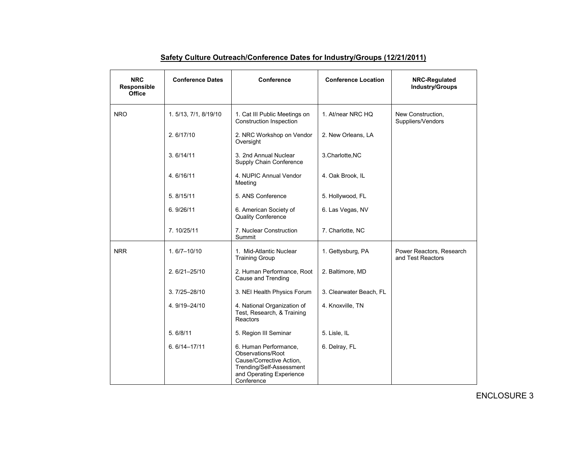| <b>NRC</b><br>Responsible<br>Office | <b>Conference Dates</b> | Conference                                                                                                                                   | <b>Conference Location</b> | NRC-Regulated<br><b>Industry/Groups</b>       |
|-------------------------------------|-------------------------|----------------------------------------------------------------------------------------------------------------------------------------------|----------------------------|-----------------------------------------------|
| <b>NRO</b>                          | 1.5/13, 7/1, 8/19/10    | 1. Cat III Public Meetings on<br>Construction Inspection                                                                                     | 1. At/near NRC HQ          | New Construction.<br>Suppliers/Vendors        |
|                                     | 2.6/17/10               | 2. NRC Workshop on Vendor<br>Oversight                                                                                                       | 2. New Orleans, LA         |                                               |
|                                     | 3.6/14/11               | 3. 2nd Annual Nuclear<br>Supply Chain Conference                                                                                             | 3.Charlotte, NC            |                                               |
|                                     | 4.6/16/11               | 4. NUPIC Annual Vendor<br>Meeting                                                                                                            | 4. Oak Brook, IL           |                                               |
|                                     | 5.8/15/11               | 5. ANS Conference                                                                                                                            | 5. Hollywood, FL           |                                               |
|                                     | 6.9/26/11               | 6. American Society of<br><b>Quality Conference</b>                                                                                          | 6. Las Vegas, NV           |                                               |
|                                     | 7.10/25/11              | 7. Nuclear Construction<br>Summit                                                                                                            | 7. Charlotte, NC           |                                               |
| <b>NRR</b>                          | $1.6/7 - 10/10$         | 1. Mid-Atlantic Nuclear<br><b>Training Group</b>                                                                                             | 1. Gettysburg, PA          | Power Reactors, Research<br>and Test Reactors |
|                                     | $2.6/21 - 25/10$        | 2. Human Performance, Root<br>Cause and Trending                                                                                             | 2. Baltimore, MD           |                                               |
|                                     | $3.7/25 - 28/10$        | 3. NEI Health Physics Forum                                                                                                                  | 3. Clearwater Beach, FL    |                                               |
|                                     | 4.9/19-24/10            | 4. National Organization of<br>Test, Research, & Training<br>Reactors                                                                        | 4. Knoxville, TN           |                                               |
|                                     | 5.6/8/11                | 5. Region III Seminar                                                                                                                        | 5. Lisle, IL               |                                               |
|                                     | $6.6/14 - 17/11$        | 6. Human Performance,<br>Observations/Root<br>Cause/Corrective Action,<br>Trending/Self-Assessment<br>and Operating Experience<br>Conference | 6. Delray, FL              |                                               |

## **Safety Culture Outreach/Conference Dates for Industry/Groups (12/21/2011)**

ENCLOSURE 3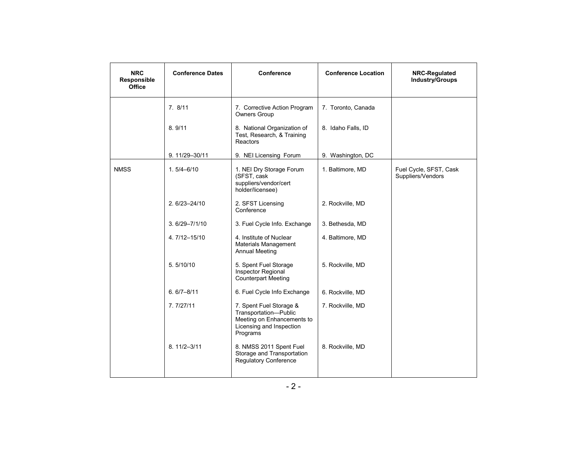| <b>NRC</b><br>Responsible<br>Office | <b>Conference Dates</b> | Conference                                                                                                             | <b>Conference Location</b> | NRC-Regulated<br><b>Industry/Groups</b>     |
|-------------------------------------|-------------------------|------------------------------------------------------------------------------------------------------------------------|----------------------------|---------------------------------------------|
|                                     | 7.8/11                  | 7. Corrective Action Program<br><b>Owners Group</b>                                                                    | 7. Toronto, Canada         |                                             |
|                                     | 8.9/11                  | 8. National Organization of<br>Test, Research, & Training<br>Reactors                                                  | 8. Idaho Falls, ID         |                                             |
|                                     | 9.11/29-30/11           | 9. NEI Licensing Forum                                                                                                 | 9. Washington, DC          |                                             |
| <b>NMSS</b>                         | $1.5/4 - 6/10$          | 1. NEI Dry Storage Forum<br>(SFST, cask<br>suppliers/vendor/cert<br>holder/licensee)                                   | 1. Baltimore, MD           | Fuel Cycle, SFST, Cask<br>Suppliers/Vendors |
|                                     | $2.6/23 - 24/10$        | 2. SFST Licensing<br>Conference                                                                                        | 2. Rockville, MD           |                                             |
|                                     | $3.6/29 - 7/1/10$       | 3. Fuel Cycle Info. Exchange                                                                                           | 3. Bethesda, MD            |                                             |
|                                     | 4.7/12-15/10            | 4. Institute of Nuclear<br>Materials Management<br><b>Annual Meeting</b>                                               | 4. Baltimore, MD           |                                             |
|                                     | 5.5/10/10               | 5. Spent Fuel Storage<br>Inspector Regional<br><b>Counterpart Meeting</b>                                              | 5. Rockville, MD           |                                             |
|                                     | $6.6/7 - 8/11$          | 6. Fuel Cycle Info Exchange                                                                                            | 6. Rockville, MD           |                                             |
|                                     | 7.7/27/11               | 7. Spent Fuel Storage &<br>Transportation-Public<br>Meeting on Enhancements to<br>Licensing and Inspection<br>Programs | 7. Rockville, MD           |                                             |
|                                     | $8.11/2 - 3/11$         | 8. NMSS 2011 Spent Fuel<br>Storage and Transportation<br><b>Regulatory Conference</b>                                  | 8. Rockville, MD           |                                             |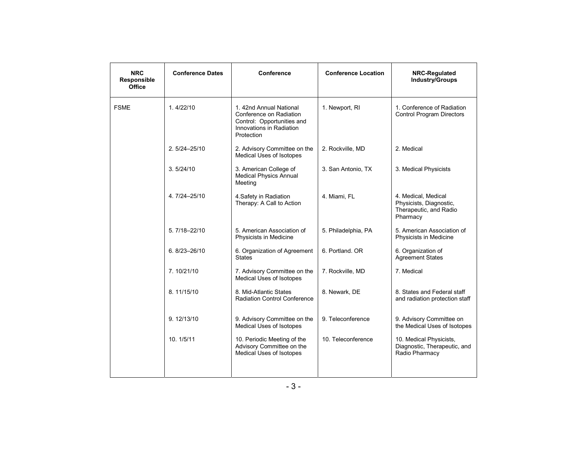| <b>NRC</b><br>Responsible<br><b>Office</b> | <b>Conference Dates</b> | <b>Conference</b>                                                                                                         | <b>Conference Location</b> | NRC-Regulated<br><b>Industry/Groups</b>                                              |
|--------------------------------------------|-------------------------|---------------------------------------------------------------------------------------------------------------------------|----------------------------|--------------------------------------------------------------------------------------|
| <b>FSME</b>                                | 1.4/22/10               | 1.42nd Annual National<br>Conference on Radiation<br>Control: Opportunities and<br>Innovations in Radiation<br>Protection | 1. Newport, RI             | 1. Conference of Radiation<br><b>Control Program Directors</b>                       |
|                                            | 2.5/24-25/10            | 2. Advisory Committee on the<br>Medical Uses of Isotopes                                                                  | 2. Rockville, MD           | 2. Medical                                                                           |
|                                            | 3.5/24/10               | 3. American College of<br><b>Medical Physics Annual</b><br>Meeting                                                        | 3. San Antonio, TX         | 3. Medical Physicists                                                                |
|                                            | 4.7/24-25/10            | 4. Safety in Radiation<br>Therapy: A Call to Action                                                                       | 4. Miami, FL               | 4. Medical, Medical<br>Physicists, Diagnostic,<br>Therapeutic, and Radio<br>Pharmacy |
|                                            | 5.7/18-22/10            | 5. American Association of<br>Physicists in Medicine                                                                      | 5. Philadelphia, PA        | 5. American Association of<br>Physicists in Medicine                                 |
|                                            | 6.8/23-26/10            | 6. Organization of Agreement<br><b>States</b>                                                                             | 6. Portland. OR            | 6. Organization of<br><b>Agreement States</b>                                        |
|                                            | 7.10/21/10              | 7. Advisory Committee on the<br>Medical Uses of Isotopes                                                                  | 7. Rockville, MD           | 7. Medical                                                                           |
|                                            | 8.11/15/10              | 8. Mid-Atlantic States<br><b>Radiation Control Conference</b>                                                             | 8. Newark, DE              | 8. States and Federal staff<br>and radiation protection staff                        |
|                                            | 9.12/13/10              | 9. Advisory Committee on the<br>Medical Uses of Isotopes                                                                  | 9. Teleconference          | 9. Advisory Committee on<br>the Medical Uses of Isotopes                             |
|                                            | 10. 1/5/11              | 10. Periodic Meeting of the<br>Advisory Committee on the<br>Medical Uses of Isotopes                                      | 10. Teleconference         | 10. Medical Physicists,<br>Diagnostic, Therapeutic, and<br>Radio Pharmacy            |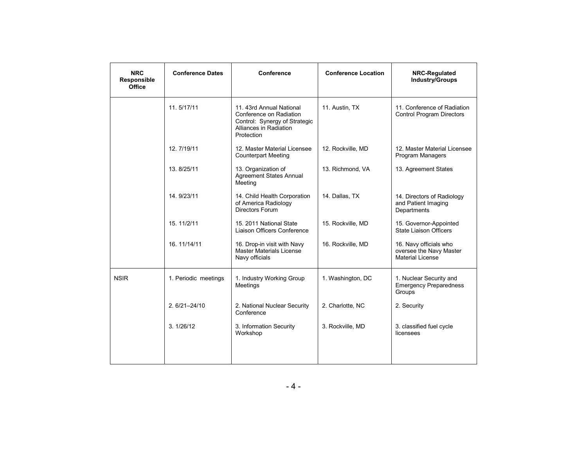| <b>NRC</b><br>Responsible<br>Office | <b>Conference Dates</b> | Conference                                                                                                                   | <b>Conference Location</b> | <b>NRC-Regulated</b><br><b>Industry/Groups</b>                               |
|-------------------------------------|-------------------------|------------------------------------------------------------------------------------------------------------------------------|----------------------------|------------------------------------------------------------------------------|
|                                     | 11.5/17/11              | 11. 43rd Annual National<br>Conference on Radiation<br>Control: Synergy of Strategic<br>Alliances in Radiation<br>Protection | 11. Austin, TX             | 11. Conference of Radiation<br><b>Control Program Directors</b>              |
|                                     | 12.7/19/11              | 12. Master Material Licensee<br><b>Counterpart Meeting</b>                                                                   | 12. Rockville, MD          | 12. Master Material Licensee<br>Program Managers                             |
|                                     | 13.8/25/11              | 13. Organization of<br><b>Agreement States Annual</b><br>Meeting                                                             | 13. Richmond, VA           | 13. Agreement States                                                         |
|                                     | 14.9/23/11              | 14. Child Health Corporation<br>of America Radiology<br>Directors Forum                                                      | 14. Dallas, TX             | 14. Directors of Radiology<br>and Patient Imaging<br>Departments             |
|                                     | 15. 11/2/11             | 15. 2011 National State<br>Liaison Officers Conference                                                                       | 15. Rockville, MD          | 15. Governor-Appointed<br>State Liaison Officers                             |
|                                     | 16. 11/14/11            | 16. Drop-in visit with Navy<br><b>Master Materials License</b><br>Navy officials                                             | 16. Rockville, MD          | 16. Navy officials who<br>oversee the Navy Master<br><b>Material License</b> |
| <b>NSIR</b>                         | 1. Periodic meetings    | 1. Industry Working Group<br>Meetings                                                                                        | 1. Washington, DC          | 1. Nuclear Security and<br><b>Emergency Preparedness</b><br>Groups           |
|                                     | $2.6/21 - 24/10$        | 2. National Nuclear Security<br>Conference                                                                                   | 2. Charlotte, NC           | 2. Security                                                                  |
|                                     | 3.1/26/12               | 3. Information Security<br>Workshop                                                                                          | 3. Rockville, MD           | 3. classified fuel cycle<br>licensees                                        |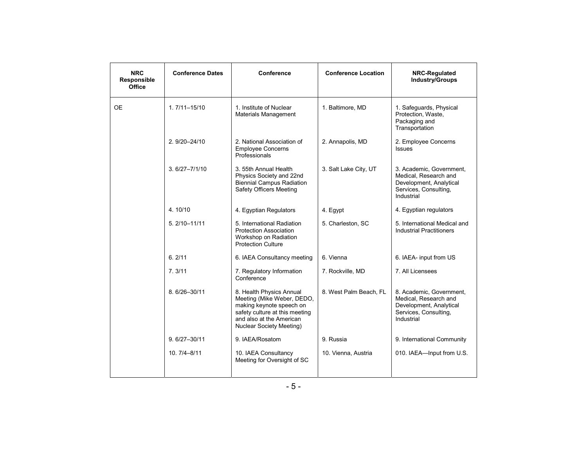| <b>NRC</b><br>Responsible<br>Office | <b>Conference Dates</b> | Conference                                                                                                                                                                          | <b>Conference Location</b> | NRC-Regulated<br><b>Industry/Groups</b>                                                                             |
|-------------------------------------|-------------------------|-------------------------------------------------------------------------------------------------------------------------------------------------------------------------------------|----------------------------|---------------------------------------------------------------------------------------------------------------------|
| <b>OE</b>                           | $1.7/11 - 15/10$        | 1. Institute of Nuclear<br>Materials Management                                                                                                                                     | 1. Baltimore, MD           | 1. Safequards, Physical<br>Protection, Waste,<br>Packaging and<br>Transportation                                    |
|                                     | $2.9/20 - 24/10$        | 2. National Association of<br><b>Employee Concerns</b><br>Professionals                                                                                                             | 2. Annapolis, MD           | 2. Employee Concerns<br><b>Issues</b>                                                                               |
|                                     | $3.6/27 - 7/1/10$       | 3. 55th Annual Health<br>Physics Society and 22nd<br><b>Biennial Campus Radiation</b><br>Safety Officers Meeting                                                                    | 3. Salt Lake City, UT      | 3. Academic, Government,<br>Medical, Research and<br>Development, Analytical<br>Services, Consulting,<br>Industrial |
|                                     | 4.10/10                 | 4. Egyptian Regulators                                                                                                                                                              | 4. Egypt                   | 4. Egyptian regulators                                                                                              |
|                                     | $5.2/10 - 11/11$        | 5. International Radiation<br><b>Protection Association</b><br>Workshop on Radiation<br><b>Protection Culture</b>                                                                   | 5. Charleston, SC          | 5. International Medical and<br><b>Industrial Practitioners</b>                                                     |
|                                     | 6.2/11                  | 6. IAEA Consultancy meeting                                                                                                                                                         | 6. Vienna                  | 6. IAEA- input from US                                                                                              |
|                                     | 7.3/11                  | 7. Regulatory Information<br>Conference                                                                                                                                             | 7. Rockville, MD           | 7. All Licensees                                                                                                    |
|                                     | 8.6/26-30/11            | 8. Health Physics Annual<br>Meeting (Mike Weber, DEDO,<br>making keynote speech on<br>safety culture at this meeting<br>and also at the American<br><b>Nuclear Society Meeting)</b> | 8. West Palm Beach, FL     | 8. Academic, Government,<br>Medical, Research and<br>Development, Analytical<br>Services, Consulting,<br>Industrial |
|                                     | $9.6/27 - 30/11$        | 9. IAEA/Rosatom                                                                                                                                                                     | 9. Russia                  | 9. International Community                                                                                          |
|                                     | $10.7/4 - 8/11$         | 10. IAEA Consultancy<br>Meeting for Oversight of SC                                                                                                                                 | 10. Vienna, Austria        | 010. IAEA-Input from U.S.                                                                                           |